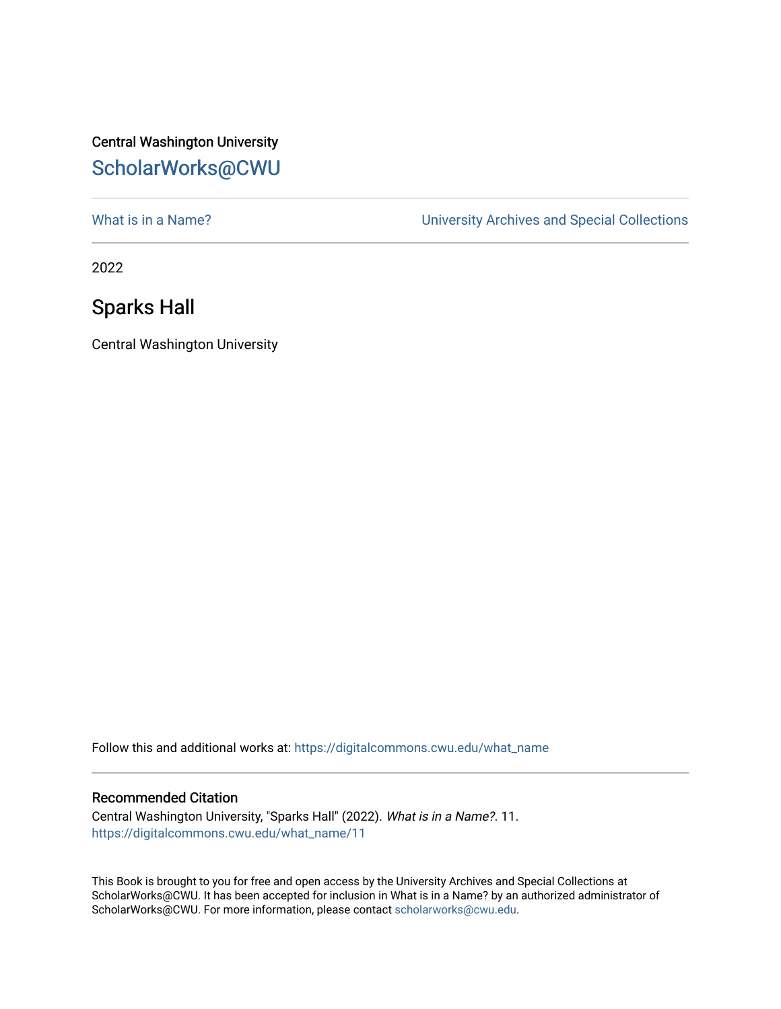## Central Washington University [ScholarWorks@CWU](https://digitalcommons.cwu.edu/)

What is in a Name?<br>
University Archives and Special Collections

2022

## Sparks Hall

Central Washington University

Follow this and additional works at: [https://digitalcommons.cwu.edu/what\\_name](https://digitalcommons.cwu.edu/what_name?utm_source=digitalcommons.cwu.edu%2Fwhat_name%2F11&utm_medium=PDF&utm_campaign=PDFCoverPages) 

## Recommended Citation

Central Washington University, "Sparks Hall" (2022). What is in a Name?. 11. [https://digitalcommons.cwu.edu/what\\_name/11](https://digitalcommons.cwu.edu/what_name/11?utm_source=digitalcommons.cwu.edu%2Fwhat_name%2F11&utm_medium=PDF&utm_campaign=PDFCoverPages) 

This Book is brought to you for free and open access by the University Archives and Special Collections at ScholarWorks@CWU. It has been accepted for inclusion in What is in a Name? by an authorized administrator of ScholarWorks@CWU. For more information, please contact [scholarworks@cwu.edu](mailto:scholarworks@cwu.edu).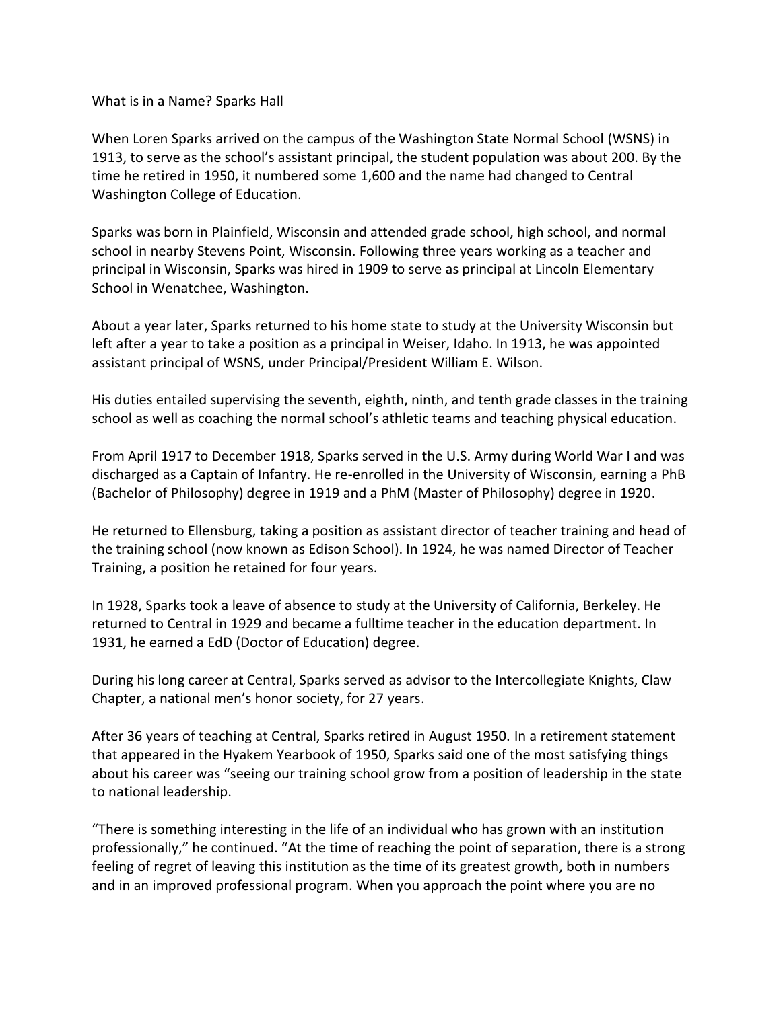What is in a Name? Sparks Hall

When Loren Sparks arrived on the campus of the Washington State Normal School (WSNS) in 1913, to serve as the school's assistant principal, the student population was about 200. By the time he retired in 1950, it numbered some 1,600 and the name had changed to Central Washington College of Education.

Sparks was born in Plainfield, Wisconsin and attended grade school, high school, and normal school in nearby Stevens Point, Wisconsin. Following three years working as a teacher and principal in Wisconsin, Sparks was hired in 1909 to serve as principal at Lincoln Elementary School in Wenatchee, Washington.

About a year later, Sparks returned to his home state to study at the University Wisconsin but left after a year to take a position as a principal in Weiser, Idaho. In 1913, he was appointed assistant principal of WSNS, under Principal/President William E. Wilson.

His duties entailed supervising the seventh, eighth, ninth, and tenth grade classes in the training school as well as coaching the normal school's athletic teams and teaching physical education.

From April 1917 to December 1918, Sparks served in the U.S. Army during World War I and was discharged as a Captain of Infantry. He re-enrolled in the University of Wisconsin, earning a PhB (Bachelor of Philosophy) degree in 1919 and a PhM (Master of Philosophy) degree in 1920.

He returned to Ellensburg, taking a position as assistant director of teacher training and head of the training school (now known as Edison School). In 1924, he was named Director of Teacher Training, a position he retained for four years.

In 1928, Sparks took a leave of absence to study at the University of California, Berkeley. He returned to Central in 1929 and became a fulltime teacher in the education department. In 1931, he earned a EdD (Doctor of Education) degree.

During his long career at Central, Sparks served as advisor to the Intercollegiate Knights, Claw Chapter, a national men's honor society, for 27 years.

After 36 years of teaching at Central, Sparks retired in August 1950. In a retirement statement that appeared in the Hyakem Yearbook of 1950, Sparks said one of the most satisfying things about his career was "seeing our training school grow from a position of leadership in the state to national leadership.

"There is something interesting in the life of an individual who has grown with an institution professionally," he continued. "At the time of reaching the point of separation, there is a strong feeling of regret of leaving this institution as the time of its greatest growth, both in numbers and in an improved professional program. When you approach the point where you are no